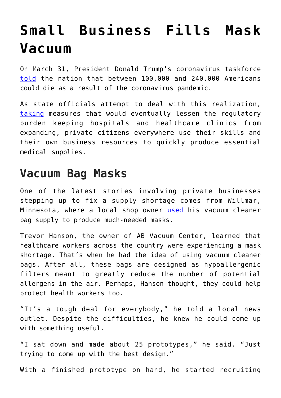## **[Small Business Fills Mask](https://intellectualtakeout.org/2020/04/small-business-fills-mask-vacuum/) [Vacuum](https://intellectualtakeout.org/2020/04/small-business-fills-mask-vacuum/)**

On March 31, President Donald Trump's coronavirus taskforce [told](https://www.cnn.com/2020/03/31/politics/trump-coronavirus/index.html) the nation that between 100,000 and 240,000 Americans could die as a result of the coronavirus pandemic.

As state officials attempt to deal with this realization, [taking](https://pacificlegal.org/certificate-of-need-laws-covid-19/) measures that would eventually lessen the regulatory burden keeping hospitals and healthcare clinics from expanding, private citizens everywhere use their skills and their own business resources to quickly produce essential medical supplies.

## **Vacuum Bag Masks**

One of the latest stories involving private businesses stepping up to fix a supply shortage comes from Willmar, Minnesota, where a local shop owner [used](https://www.kare11.com/article/news/health/coronavirus/shop-owner-designs-mask-made-from-vacuum-cleaner-bags-volunteers-turning-out-thousands/89-f21d2515-baa2-4f25-8777-05217fb78f96?fbclid=IwAR3jukSEho7nx2zLCZFyi8tEYSLG1Z2B-I5MvBA8wxnWyUIcKEAdn59xT_g) his vacuum cleaner bag supply to produce much-needed masks.

Trevor Hanson, the owner of AB Vacuum Center, learned that healthcare workers across the country were experiencing a mask shortage. That's when he had the idea of using vacuum cleaner bags. After all, these bags are designed as hypoallergenic filters meant to greatly reduce the number of potential allergens in the air. Perhaps, Hanson thought, they could help protect health workers too.

"It's a tough deal for everybody," he told a local news outlet. Despite the difficulties, he knew he could come up with something useful.

"I sat down and made about 25 prototypes," he said. "Just trying to come up with the best design."

With a finished prototype on hand, he started recruiting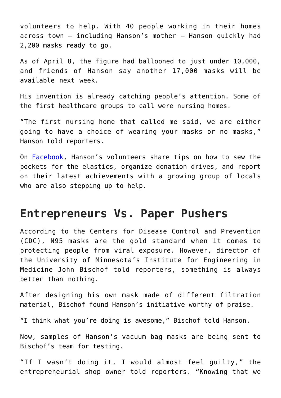volunteers to help. With 40 people working in their homes across town – including Hanson's mother – Hanson quickly had 2,200 masks ready to go.

As of April 8, the figure had ballooned to just under 10,000, and friends of Hanson say another 17,000 masks will be available next week.

His invention is already catching people's attention. Some of the first healthcare groups to call were nursing homes.

"The first nursing home that called me said, we are either going to have a choice of wearing your masks or no masks," Hanson told reporters.

On [Facebook](https://www.facebook.com/groups/1291057454432587/?epa=SEARCH_BOX), Hanson's volunteers share tips on how to sew the pockets for the elastics, organize donation drives, and report on their latest achievements with a growing group of locals who are also stepping up to help.

## **Entrepreneurs Vs. Paper Pushers**

According to the Centers for Disease Control and Prevention (CDC), N95 masks are the gold standard when it comes to protecting people from viral exposure. However, director of the University of Minnesota's Institute for Engineering in Medicine John Bischof told reporters, something is always better than nothing.

After designing his own mask made of different filtration material, Bischof found Hanson's initiative worthy of praise.

"I think what you're doing is awesome," Bischof told Hanson.

Now, samples of Hanson's vacuum bag masks are being sent to Bischof's team for testing.

"If I wasn't doing it, I would almost feel guilty," the entrepreneurial shop owner told reporters. "Knowing that we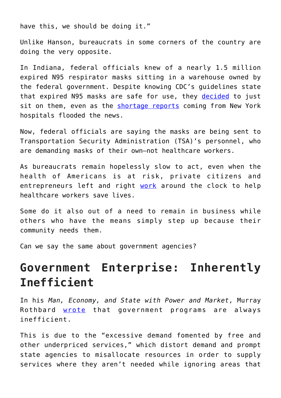have this, we should be doing it."

Unlike Hanson, bureaucrats in some corners of the country are doing the very opposite.

In Indiana, federal officials knew of a nearly 1.5 million expired N95 respirator masks sitting in a warehouse owned by the federal government. Despite knowing CDC's guidelines state that expired N95 masks are safe for use, they [decided](https://khn.org/morning-breakout/theres-a-stockpile-of-nearly-1-5m-masks-in-a-government-warehouse-but-theyre-expired/) to just sit on them, even as the [shortage reports](https://www.cityandstateny.com/articles/politics/new-york-city/new-york-needs-masks-gowns-and-ventilators-will-congress-come) coming from New York hospitals flooded the news.

Now, federal officials are saying the masks are being sent to Transportation Security Administration (TSA)'s personnel, who are demanding masks of their own—not healthcare workers.

As bureaucrats remain hopelessly slow to act, even when the health of Americans is at risk, private citizens and entrepreneurs left and right [work](https://www.washingtonpost.com/dc-md-va/2020/03/26/covid-19-forced-maryland-firm-close-now-its-making-masks-gowns-health-professionals/) around the clock to help healthcare workers save lives.

Some do it also out of a need to remain in business while others who have the means simply step up because their community needs them.

Can we say the same about government agencies?

## **Government Enterprise: Inherently Inefficient**

In his *Man, Economy, and State with Power and Market*, Murray Rothbard [wrote](https://mises.org/library/myth-efficient-government-service) that government programs are always inefficient.

This is due to the "excessive demand fomented by free and other underpriced services," which distort demand and prompt state agencies to misallocate resources in order to supply services where they aren't needed while ignoring areas that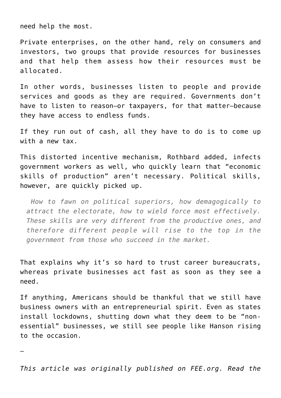need help the most.

Private enterprises, on the other hand, rely on consumers and investors, two groups that provide resources for businesses and that help them assess how their resources must be allocated.

In other words, businesses listen to people and provide services and goods as they are required. Governments don't have to listen to reason—or taxpayers, for that matter—because they have access to endless funds.

If they run out of cash, all they have to do is to come up with a new tax.

This distorted incentive mechanism, Rothbard added, infects government workers as well, who quickly learn that "economic skills of production" aren't necessary. Political skills, however, are quickly picked up.

 *How to fawn on political superiors, how demagogically to attract the electorate, how to wield force most effectively. These skills are very different from the productive ones, and therefore different people will rise to the top in the government from those who succeed in the market.*

That explains why it's so hard to trust career bureaucrats, whereas private businesses act fast as soon as they see a need.

If anything, Americans should be thankful that we still have business owners with an entrepreneurial spirit. Even as states install lockdowns, shutting down what they deem to be "nonessential" businesses, we still see people like Hanson rising to the occasion.

—

*This article was originally published on FEE.org. Read the*